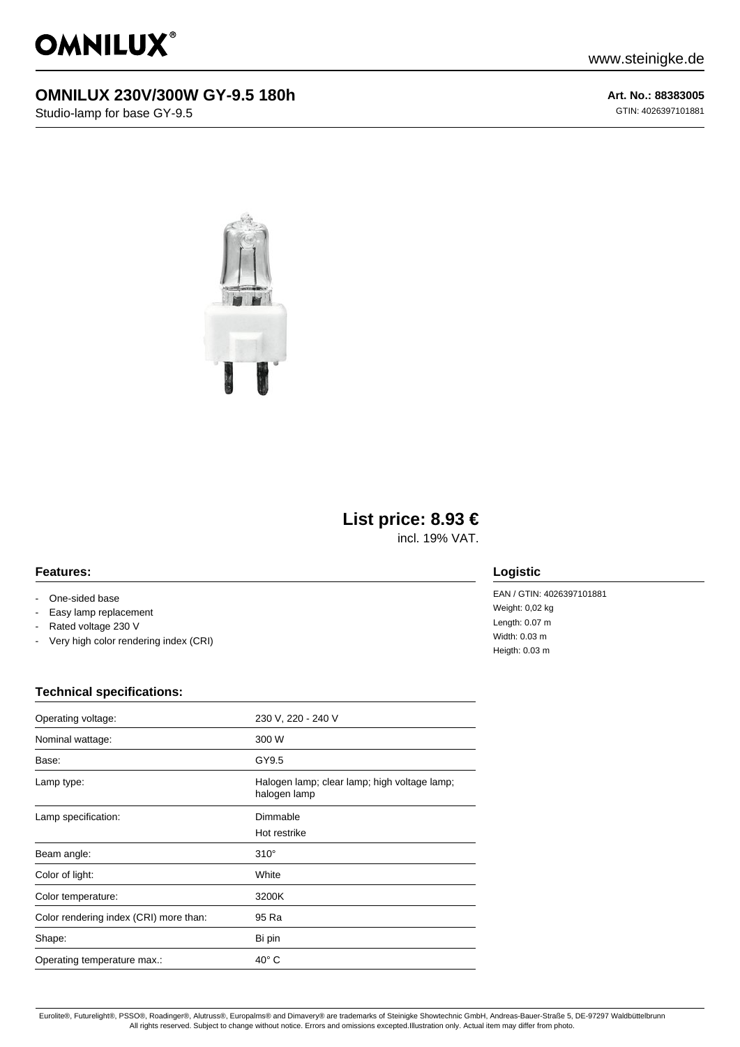

## **OMNILUX 230V/300W GY-9.5 180h**

Studio-lamp for base GY-9.5

**Art. No.: 88383005** GTIN: 4026397101881



# **List price: 8.93 €**

incl. 19% VAT.

#### **Features:**

- One-sided base
- Easy lamp replacement
- Rated voltage 230 V
- Very high color rendering index (CRI)

### **Logistic**

EAN / GTIN: 4026397101881 Weight: 0,02 kg Length: 0.07 m Width: 0.03 m Heigth: 0.03 m

#### **Technical specifications:**

| Operating voltage:                     | 230 V, 220 - 240 V                                           |
|----------------------------------------|--------------------------------------------------------------|
| Nominal wattage:                       | 300 W                                                        |
| Base:                                  | GY9.5                                                        |
| Lamp type:                             | Halogen lamp; clear lamp; high voltage lamp;<br>halogen lamp |
| Lamp specification:                    | Dimmable                                                     |
|                                        | Hot restrike                                                 |
| Beam angle:                            | $310^\circ$                                                  |
| Color of light:                        | White                                                        |
| Color temperature:                     | 3200K                                                        |
| Color rendering index (CRI) more than: | 95 Ra                                                        |
| Shape:                                 | Bi pin                                                       |
| Operating temperature max.:            | $40^{\circ}$ C                                               |

Eurolite®, Futurelight®, PSSO®, Roadinger®, Alutruss®, Europalms® and Dimavery® are trademarks of Steinigke Showtechnic GmbH, Andreas-Bauer-Straße 5, DE-97297 Waldbüttelbrunn All rights reserved. Subject to change without notice. Errors and omissions excepted.Illustration only. Actual item may differ from photo.